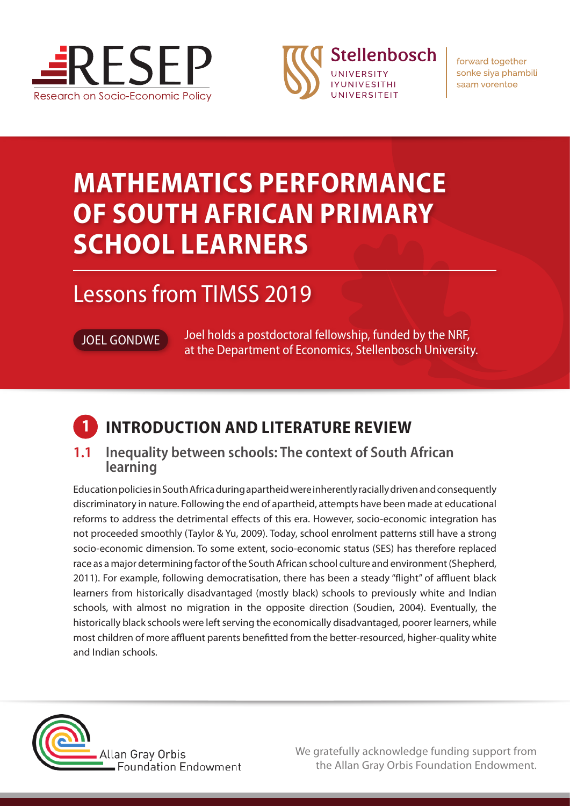



forward together sonke siya phambili saam vorentoe

# **MATHEMATICS PERFORMANCE OF SOUTH AFRICAN PRIMARY SCHOOL LEARNERS**

## Lessons from TIMSS 2019

JOEL GONDWE Joel holds a postdoctoral fellowship, funded by the NRF, at the Department of Economics, Stellenbosch University.

## **1 INTRODUCTION AND LITERATURE REVIEW**

#### **1.1 Inequality between schools: The context of South African learning**

Education policies in South Africa during apartheid were inherently racially driven and consequently discriminatory in nature. Following the end of apartheid, attempts have been made at educational reforms to address the detrimental effects of this era. However, socio-economic integration has not proceeded smoothly (Taylor & Yu, 2009). Today, school enrolment patterns still have a strong socio-economic dimension. To some extent, socio-economic status (SES) has therefore replaced race as a major determining factor of the South African school culture and environment (Shepherd, 2011). For example, following democratisation, there has been a steady "flight" of affluent black learners from historically disadvantaged (mostly black) schools to previously white and Indian schools, with almost no migration in the opposite direction (Soudien, 2004). Eventually, the historically black schools were left serving the economically disadvantaged, poorer learners, while most children of more affluent parents benefitted from the better-resourced, higher-quality white and Indian schools.



We gratefully acknowledge funding support from the Allan Gray Orbis Foundation Endowment.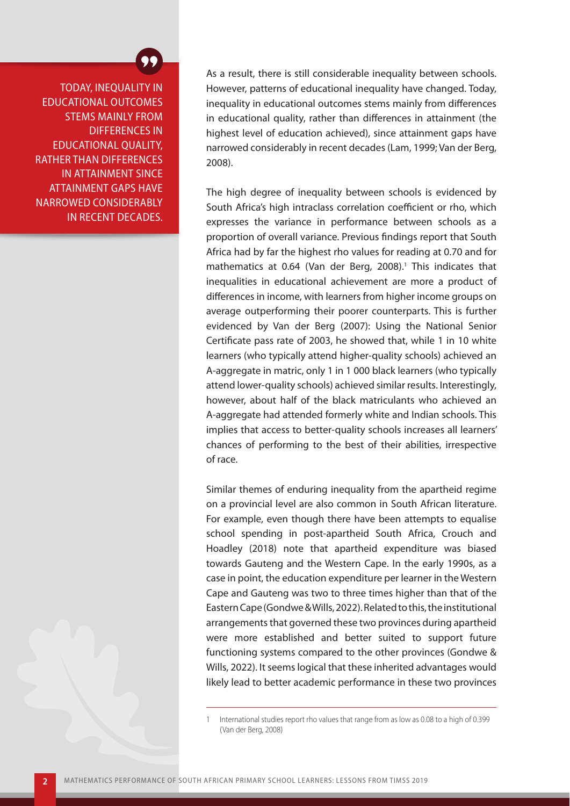TODAY, INEQUALITY IN EDUCATIONAL OUTCOMES STEMS MAINLY FROM DIFFERENCES IN EDUCATIONAL QUALITY, RATHER THAN DIFFERENCES IN ATTAINMENT SINCE ATTAINMENT GAPS HAVE NARROWED CONSIDERABLY IN RECENT DECADES.

As a result, there is still considerable inequality between schools. However, patterns of educational inequality have changed. Today, inequality in educational outcomes stems mainly from differences in educational quality, rather than differences in attainment (the highest level of education achieved), since attainment gaps have narrowed considerably in recent decades (Lam, 1999; Van der Berg, 2008).

The high degree of inequality between schools is evidenced by South Africa's high intraclass correlation coefficient or rho, which expresses the variance in performance between schools as a proportion of overall variance. Previous findings report that South Africa had by far the highest rho values for reading at 0.70 and for mathematics at 0.64 (Van der Berg, 2008).<sup>1</sup> This indicates that inequalities in educational achievement are more a product of differences in income, with learners from higher income groups on average outperforming their poorer counterparts. This is further evidenced by Van der Berg (2007): Using the National Senior Certificate pass rate of 2003, he showed that, while 1 in 10 white learners (who typically attend higher-quality schools) achieved an A-aggregate in matric, only 1 in 1 000 black learners (who typically attend lower-quality schools) achieved similar results. Interestingly, however, about half of the black matriculants who achieved an A-aggregate had attended formerly white and Indian schools. This implies that access to better-quality schools increases all learners' chances of performing to the best of their abilities, irrespective of race.

Similar themes of enduring inequality from the apartheid regime on a provincial level are also common in South African literature. For example, even though there have been attempts to equalise school spending in post-apartheid South Africa, Crouch and Hoadley (2018) note that apartheid expenditure was biased towards Gauteng and the Western Cape. In the early 1990s, as a case in point, the education expenditure per learner in the Western Cape and Gauteng was two to three times higher than that of the Eastern Cape (Gondwe & Wills, 2022). Related to this, the institutional arrangements that governed these two provinces during apartheid were more established and better suited to support future functioning systems compared to the other provinces (Gondwe & Wills, 2022). It seems logical that these inherited advantages would likely lead to better academic performance in these two provinces

<sup>1</sup> International studies report rho values that range from as low as 0.08 to a high of 0.399 (Van der Berg, 2008)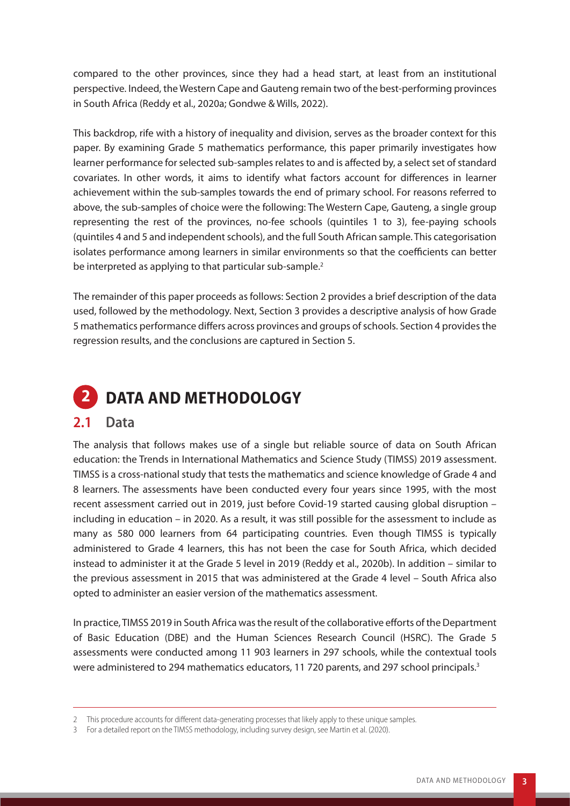compared to the other provinces, since they had a head start, at least from an institutional perspective. Indeed, the Western Cape and Gauteng remain two of the best-performing provinces in South Africa (Reddy et al., 2020a; Gondwe & Wills, 2022).

This backdrop, rife with a history of inequality and division, serves as the broader context for this paper. By examining Grade 5 mathematics performance, this paper primarily investigates how learner performance for selected sub-samples relates to and is affected by, a select set of standard covariates. In other words, it aims to identify what factors account for differences in learner achievement within the sub-samples towards the end of primary school. For reasons referred to above, the sub-samples of choice were the following: The Western Cape, Gauteng, a single group representing the rest of the provinces, no-fee schools (quintiles 1 to 3), fee-paying schools (quintiles 4 and 5 and independent schools), and the full South African sample. This categorisation isolates performance among learners in similar environments so that the coefficients can better be interpreted as applying to that particular sub-sample.<sup>2</sup>

The remainder of this paper proceeds as follows: Section 2 provides a brief description of the data used, followed by the methodology. Next, Section 3 provides a descriptive analysis of how Grade 5 mathematics performance differs across provinces and groups of schools. Section 4 provides the regression results, and the conclusions are captured in Section 5.



#### **2.1 Data**

The analysis that follows makes use of a single but reliable source of data on South African education: the Trends in International Mathematics and Science Study (TIMSS) 2019 assessment. TIMSS is a cross-national study that tests the mathematics and science knowledge of Grade 4 and 8 learners. The assessments have been conducted every four years since 1995, with the most recent assessment carried out in 2019, just before Covid-19 started causing global disruption – including in education – in 2020. As a result, it was still possible for the assessment to include as many as 580 000 learners from 64 participating countries. Even though TIMSS is typically administered to Grade 4 learners, this has not been the case for South Africa, which decided instead to administer it at the Grade 5 level in 2019 (Reddy et al., 2020b). In addition – similar to the previous assessment in 2015 that was administered at the Grade 4 level – South Africa also opted to administer an easier version of the mathematics assessment.

In practice, TIMSS 2019 in South Africa was the result of the collaborative efforts of the Department of Basic Education (DBE) and the Human Sciences Research Council (HSRC). The Grade 5 assessments were conducted among 11 903 learners in 297 schools, while the contextual tools were administered to 294 mathematics educators, 11 720 parents, and 297 school principals.<sup>3</sup>

<sup>2</sup> This procedure accounts for different data-generating processes that likely apply to these unique samples.

<sup>3</sup> For a detailed report on the TIMSS methodology, including survey design, see Martin et al. (2020).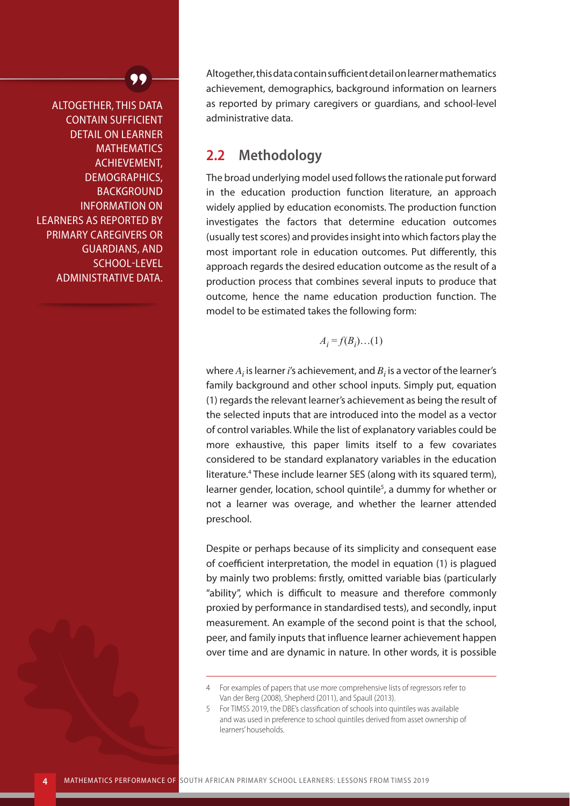ALTOGETHER, THIS DATA CONTAIN SUFFICIENT DETAIL ON LEARNER **MATHEMATICS** ACHIEVEMENT, DEMOGRAPHICS, **BACKGROUND** INFORMATION ON LEARNERS AS REPORTED BY PRIMARY CAREGIVERS OR GUARDIANS, AND SCHOOL-LEVEL ADMINISTRATIVE DATA. Altogether, this data contain sufficient detail on learner mathematics achievement, demographics, background information on learners as reported by primary caregivers or guardians, and school-level administrative data.

#### **2.2 Methodology**

The broad underlying model used follows the rationale put forward in the education production function literature, an approach widely applied by education economists. The production function investigates the factors that determine education outcomes (usually test scores) and provides insight into which factors play the most important role in education outcomes. Put differently, this approach regards the desired education outcome as the result of a production process that combines several inputs to produce that outcome, hence the name education production function. The model to be estimated takes the following form:

 $A_i = f(B_i) \dots (1)$ 

where  $A_i$  is learner  $i$ 's achievement, and  $B_i$  is a vector of the learner's family background and other school inputs. Simply put, equation (1) regards the relevant learner's achievement as being the result of the selected inputs that are introduced into the model as a vector of control variables. While the list of explanatory variables could be more exhaustive, this paper limits itself to a few covariates considered to be standard explanatory variables in the education literature.<sup>4</sup> These include learner SES (along with its squared term), learner gender, location, school quintile<sup>5</sup>, a dummy for whether or not a learner was overage, and whether the learner attended preschool.

Despite or perhaps because of its simplicity and consequent ease of coefficient interpretation, the model in equation (1) is plagued by mainly two problems: firstly, omitted variable bias (particularly "ability", which is difficult to measure and therefore commonly proxied by performance in standardised tests), and secondly, input measurement. An example of the second point is that the school, peer, and family inputs that influence learner achievement happen over time and are dynamic in nature. In other words, it is possible

<sup>4</sup> For examples of papers that use more comprehensive lists of regressors refer to Van der Berg (2008), Shepherd (2011), and Spaull (2013).

<sup>5</sup> For TIMSS 2019, the DBE's classification of schools into quintiles was available and was used in preference to school quintiles derived from asset ownership of learners' households.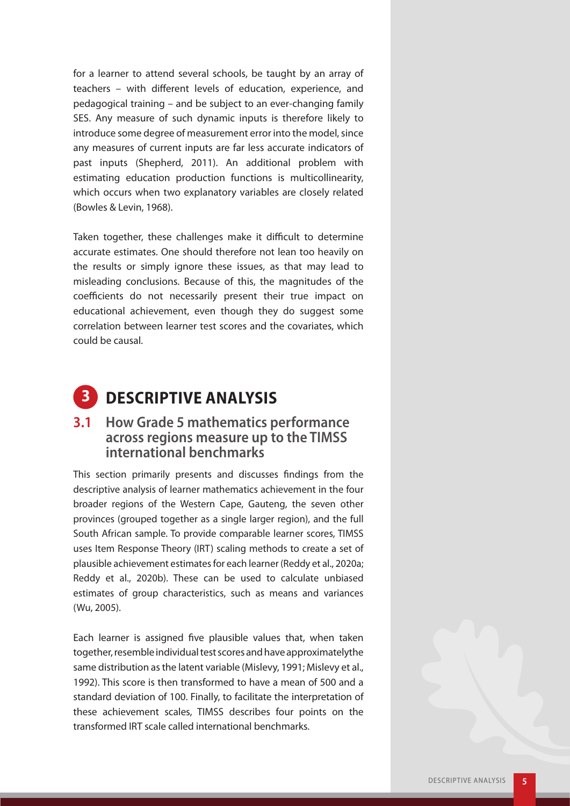for a learner to attend several schools, be taught by an array of teachers – with different levels of education, experience, and pedagogical training – and be subject to an ever-changing family SES. Any measure of such dynamic inputs is therefore likely to introduce some degree of measurement error into the model, since any measures of current inputs are far less accurate indicators of past inputs (Shepherd, 2011). An additional problem with estimating education production functions is multicollinearity, which occurs when two explanatory variables are closely related (Bowles & Levin, 1968).

Taken together, these challenges make it difficult to determine accurate estimates. One should therefore not lean too heavily on the results or simply ignore these issues, as that may lead to misleading conclusions. Because of this, the magnitudes of the coefficients do not necessarily present their true impact on educational achievement, even though they do suggest some correlation between learner test scores and the covariates, which could be causal.



#### **3.1 How Grade 5 mathematics performance across regions measure up to the TIMSS international benchmarks**

This section primarily presents and discusses findings from the descriptive analysis of learner mathematics achievement in the four broader regions of the Western Cape, Gauteng, the seven other provinces (grouped together as a single larger region), and the full South African sample. To provide comparable learner scores, TIMSS uses Item Response Theory (IRT) scaling methods to create a set of plausible achievement estimates for each learner (Reddy et al., 2020a; Reddy et al., 2020b). These can be used to calculate unbiased estimates of group characteristics, such as means and variances (Wu, 2005).

Each learner is assigned five plausible values that, when taken together, resemble individual test scores and have approximatelythe same distribution as the latent variable (Mislevy, 1991; Mislevy et al., 1992). This score is then transformed to have a mean of 500 and a standard deviation of 100. Finally, to facilitate the interpretation of these achievement scales, TIMSS describes four points on the transformed IRT scale called international benchmarks.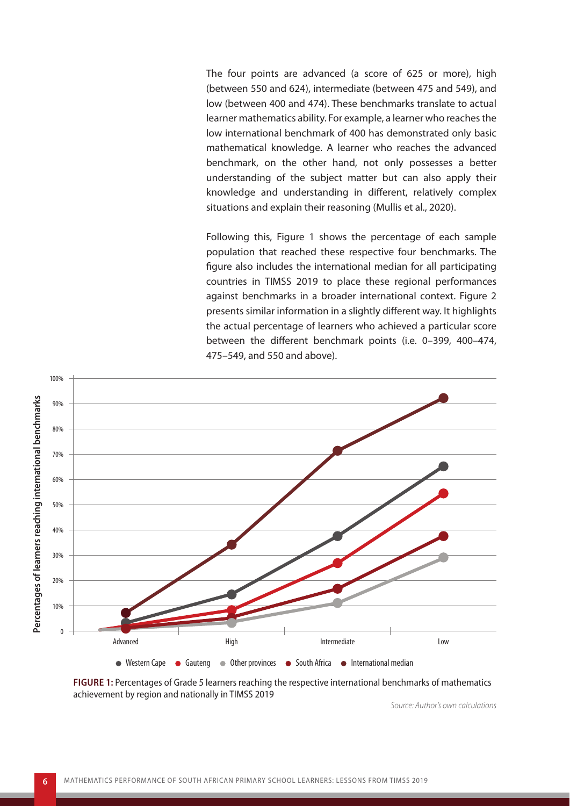The four points are advanced (a score of 625 or more), high (between 550 and 624), intermediate (between 475 and 549), and low (between 400 and 474). These benchmarks translate to actual learner mathematics ability. For example, a learner who reaches the low international benchmark of 400 has demonstrated only basic mathematical knowledge. A learner who reaches the advanced benchmark, on the other hand, not only possesses a better understanding of the subject matter but can also apply their knowledge and understanding in different, relatively complex situations and explain their reasoning (Mullis et al., 2020).

Following this, Figure 1 shows the percentage of each sample population that reached these respective four benchmarks. The figure also includes the international median for all participating countries in TIMSS 2019 to place these regional performances against benchmarks in a broader international context. Figure 2 presents similar information in a slightly different way. It highlights the actual percentage of learners who achieved a particular score between the different benchmark points (i.e. 0–399, 400–474, 475–549, and 550 and above).



**FIGURE 1:** Percentages of Grade 5 learners reaching the respective international benchmarks of mathematics achievement by region and nationally in TIMSS 2019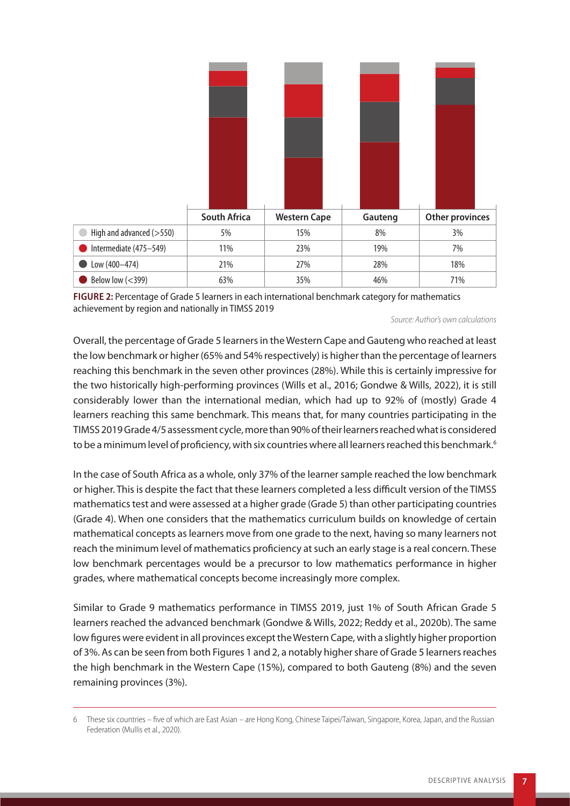

**FIGURE 2:** Percentage of Grade 5 learners in each international benchmark category for mathematics achievement by region and nationally in TIMSS 2019

*Source: Author's own calculations* 

Overall, the percentage of Grade 5 learners in the Western Cape and Gauteng who reached at least the low benchmark or higher (65% and 54% respectively) is higher than the percentage of learners reaching this benchmark in the seven other provinces (28%). While this is certainly impressive for the two historically high-performing provinces (Wills et al., 2016; Gondwe & Wills, 2022), it is still considerably lower than the international median, which had up to 92% of (mostly) Grade 4 learners reaching this same benchmark. This means that, for many countries participating in the TIMSS 2019 Grade 4/5 assessment cycle, more than 90% of their learners reached what is considered to be a minimum level of proficiency, with six countries where all learners reached this benchmark.<sup>6</sup>

In the case of South Africa as a whole, only 37% of the learner sample reached the low benchmark or higher. This is despite the fact that these learners completed a less difficult version of the TIMSS mathematics test and were assessed at a higher grade (Grade 5) than other participating countries (Grade 4). When one considers that the mathematics curriculum builds on knowledge of certain mathematical concepts as learners move from one grade to the next, having so many learners not reach the minimum level of mathematics proficiency at such an early stage is a real concern. These low benchmark percentages would be a precursor to low mathematics performance in higher grades, where mathematical concepts become increasingly more complex.

Similar to Grade 9 mathematics performance in TIMSS 2019, just 1% of South African Grade 5 learners reached the advanced benchmark (Gondwe & Wills, 2022; Reddy et al., 2020b). The same low figures were evident in all provinces except the Western Cape, with a slightly higher proportion of 3%. As can be seen from both Figures 1 and 2, a notably higher share of Grade 5 learners reaches the high benchmark in the Western Cape (15%), compared to both Gauteng (8%) and the seven remaining provinces (3%).

<sup>6</sup> These six countries – five of which are East Asian – are Hong Kong, Chinese Taipei/Taiwan, Singapore, Korea, Japan, and the Russian Federation (Mullis et al., 2020).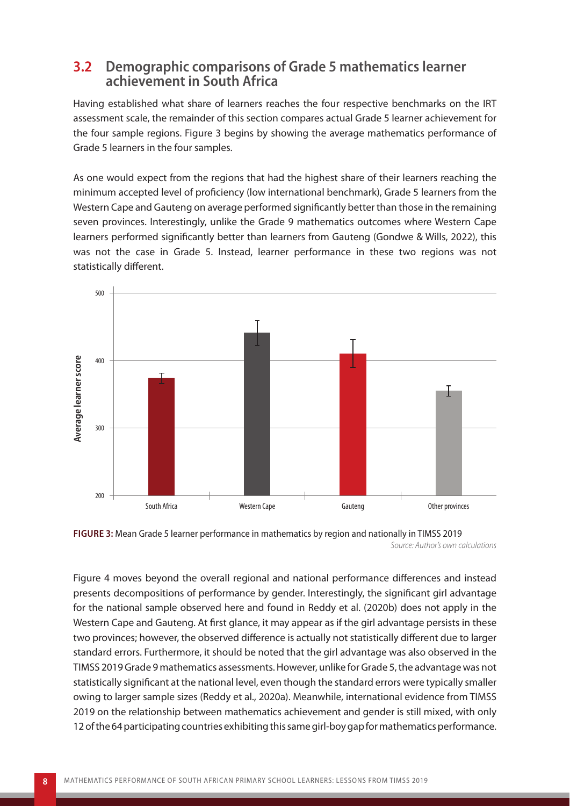#### **3.2 Demographic comparisons of Grade 5 mathematics learner achievement in South Africa**

Having established what share of learners reaches the four respective benchmarks on the IRT assessment scale, the remainder of this section compares actual Grade 5 learner achievement for the four sample regions. Figure 3 begins by showing the average mathematics performance of Grade 5 learners in the four samples.

As one would expect from the regions that had the highest share of their learners reaching the minimum accepted level of proficiency (low international benchmark), Grade 5 learners from the Western Cape and Gauteng on average performed significantly better than those in the remaining seven provinces. Interestingly, unlike the Grade 9 mathematics outcomes where Western Cape learners performed significantly better than learners from Gauteng (Gondwe & Wills, 2022), this was not the case in Grade 5. Instead, learner performance in these two regions was not statistically different.





Figure 4 moves beyond the overall regional and national performance differences and instead presents decompositions of performance by gender. Interestingly, the significant girl advantage for the national sample observed here and found in Reddy et al. (2020b) does not apply in the Western Cape and Gauteng. At first glance, it may appear as if the girl advantage persists in these two provinces; however, the observed difference is actually not statistically different due to larger standard errors. Furthermore, it should be noted that the girl advantage was also observed in the TIMSS 2019 Grade 9 mathematics assessments. However, unlike for Grade 5, the advantage was not statistically significant at the national level, even though the standard errors were typically smaller owing to larger sample sizes (Reddy et al., 2020a). Meanwhile, international evidence from TIMSS 2019 on the relationship between mathematics achievement and gender is still mixed, with only 12 of the 64 participating countries exhibiting this same girl-boy gap for mathematics performance.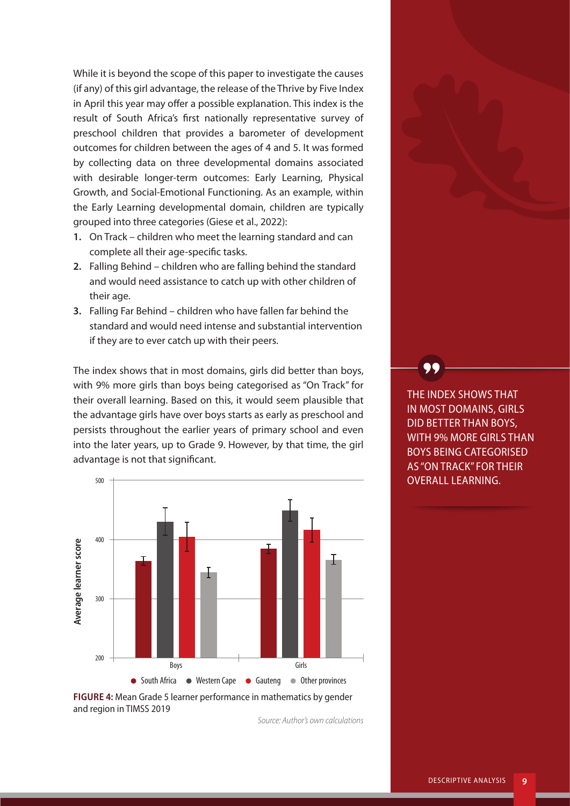While it is beyond the scope of this paper to investigate the causes (if any) of this girl advantage, the release of the Thrive by Five Index in April this year may offer a possible explanation. This index is the result of South Africa's first nationally representative survey of preschool children that provides a barometer of development outcomes for children between the ages of 4 and 5. It was formed by collecting data on three developmental domains associated with desirable longer-term outcomes: Early Learning, Physical Growth, and Social-Emotional Functioning. As an example, within the Early Learning developmental domain, children are typically grouped into three categories (Giese et al., 2022):

- **1.** On Track children who meet the learning standard and can complete all their age-specific tasks.
- **2.** Falling Behind children who are falling behind the standard and would need assistance to catch up with other children of their age.
- **3.** Falling Far Behind children who have fallen far behind the standard and would need intense and substantial intervention if they are to ever catch up with their peers.

The index shows that in most domains, girls did better than boys, with 9% more girls than boys being categorised as "On Track" for their overall learning. Based on this, it would seem plausible that the advantage girls have over boys starts as early as preschool and persists throughout the earlier years of primary school and even into the later years, up to Grade 9. However, by that time, the girl advantage is not that significant.



and region in TIMSS 2019

*Source: Author's own calculations* 

THE INDEX SHOWS THAT IN MOST DOMAINS, GIRLS DID BETTER THAN BOYS, WITH 9% MORE GIRLS THAN BOYS BEING CATEGORISED AS "ON TRACK" FOR THEIR OVERALL LEARNING.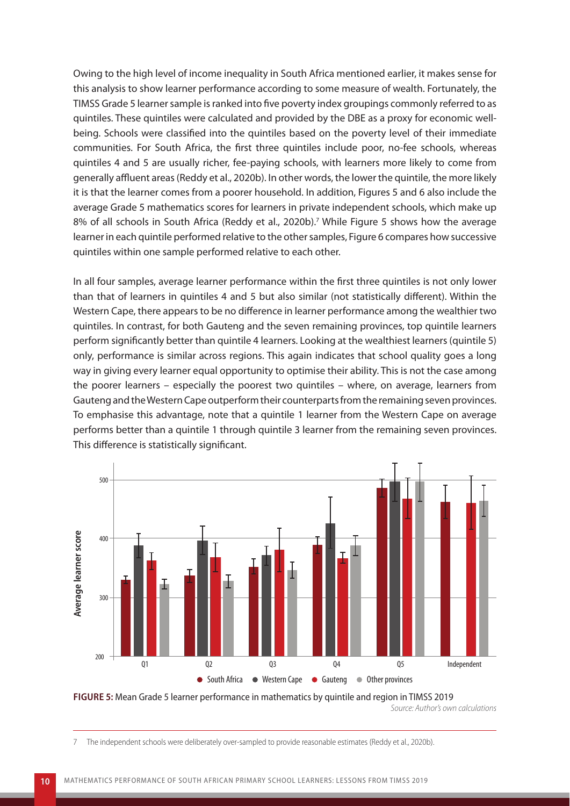Owing to the high level of income inequality in South Africa mentioned earlier, it makes sense for this analysis to show learner performance according to some measure of wealth. Fortunately, the TIMSS Grade 5 learner sample is ranked into five poverty index groupings commonly referred to as quintiles. These quintiles were calculated and provided by the DBE as a proxy for economic wellbeing. Schools were classified into the quintiles based on the poverty level of their immediate communities. For South Africa, the first three quintiles include poor, no-fee schools, whereas quintiles 4 and 5 are usually richer, fee-paying schools, with learners more likely to come from generally affluent areas (Reddy et al., 2020b). In other words, the lower the quintile, the more likely it is that the learner comes from a poorer household. In addition, Figures 5 and 6 also include the average Grade 5 mathematics scores for learners in private independent schools, which make up 8% of all schools in South Africa (Reddy et al., 2020b).<sup>7</sup> While Figure 5 shows how the average learner in each quintile performed relative to the other samples, Figure 6 compares how successive quintiles within one sample performed relative to each other.

In all four samples, average learner performance within the first three quintiles is not only lower than that of learners in quintiles 4 and 5 but also similar (not statistically different). Within the Western Cape, there appears to be no difference in learner performance among the wealthier two quintiles. In contrast, for both Gauteng and the seven remaining provinces, top quintile learners perform significantly better than quintile 4 learners. Looking at the wealthiest learners (quintile 5) only, performance is similar across regions. This again indicates that school quality goes a long way in giving every learner equal opportunity to optimise their ability. This is not the case among the poorer learners – especially the poorest two quintiles – where, on average, learners from Gauteng and the Western Cape outperform their counterparts from the remaining seven provinces. To emphasise this advantage, note that a quintile 1 learner from the Western Cape on average performs better than a quintile 1 through quintile 3 learner from the remaining seven provinces. This difference is statistically significant.



**FIGURE 5:** Mean Grade 5 learner performance in mathematics by quintile and region in TIMSS 2019

*Source: Author's own calculations*

7 The independent schools were deliberately over-sampled to provide reasonable estimates (Reddy et al., 2020b).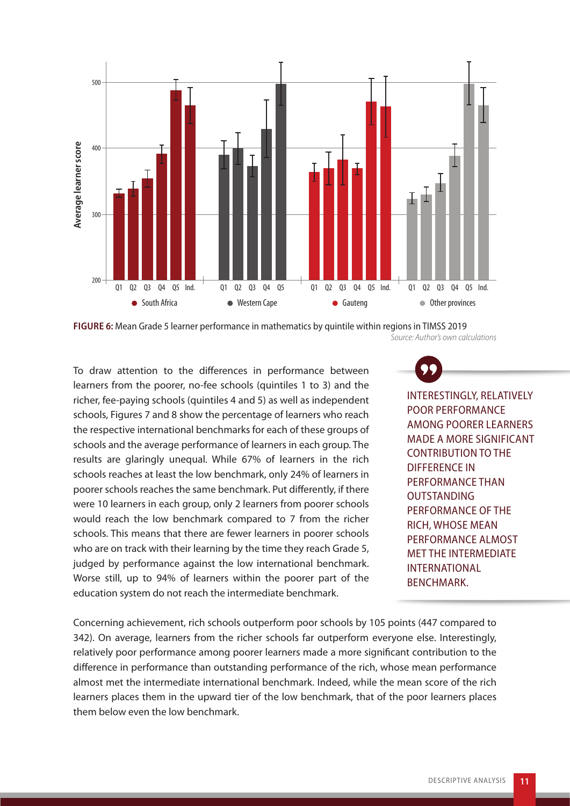

**FIGURE 6:** Mean Grade 5 learner performance in mathematics by quintile within regions in TIMSS 2019 *Source: Author's own calculations*

To draw attention to the differences in performance between learners from the poorer, no-fee schools (quintiles 1 to 3) and the richer, fee-paying schools (quintiles 4 and 5) as well as independent schools, Figures 7 and 8 show the percentage of learners who reach the respective international benchmarks for each of these groups of schools and the average performance of learners in each group. The results are glaringly unequal. While 67% of learners in the rich schools reaches at least the low benchmark, only 24% of learners in poorer schools reaches the same benchmark. Put differently, if there were 10 learners in each group, only 2 learners from poorer schools would reach the low benchmark compared to 7 from the richer schools. This means that there are fewer learners in poorer schools who are on track with their learning by the time they reach Grade 5, judged by performance against the low international benchmark. Worse still, up to 94% of learners within the poorer part of the education system do not reach the intermediate benchmark.

INTERESTINGLY, RELATIVELY POOR PERFORMANCE AMONG POORER LEARNERS MADE A MORE SIGNIFICANT CONTRIBUTION TO THE DIFFERENCE IN PERFORMANCE THAN OUTSTANDING PERFORMANCE OF THE RICH, WHOSE MEAN PERFORMANCE ALMOST MET THE INTERMEDIATE INTERNATIONAL BENCHMARK.

Concerning achievement, rich schools outperform poor schools by 105 points (447 compared to 342). On average, learners from the richer schools far outperform everyone else. Interestingly, relatively poor performance among poorer learners made a more significant contribution to the difference in performance than outstanding performance of the rich, whose mean performance almost met the intermediate international benchmark. Indeed, while the mean score of the rich learners places them in the upward tier of the low benchmark, that of the poor learners places them below even the low benchmark.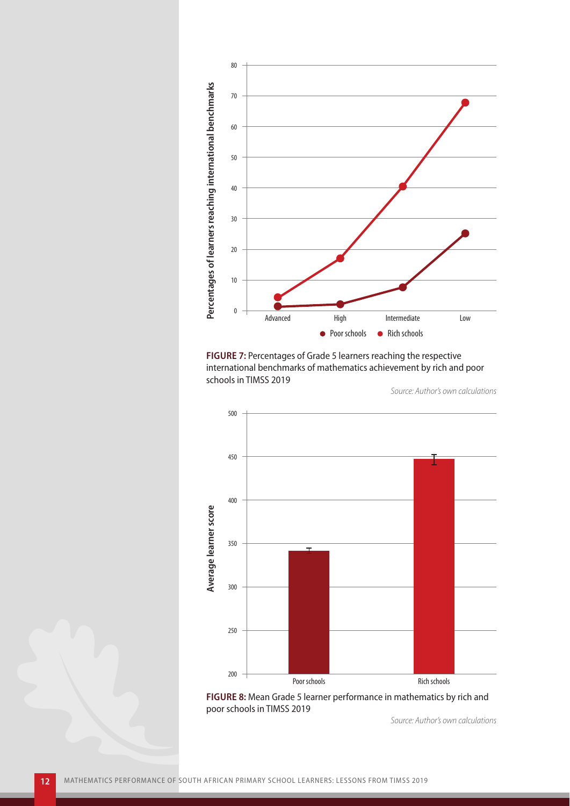

**FIGURE 7:** Percentages of Grade 5 learners reaching the respective international benchmarks of mathematics achievement by rich and poor schools in TIMSS 2019

*Source: Author's own calculations*



**FIGURE 8:** Mean Grade 5 learner performance in mathematics by rich and poor schools in TIMSS 2019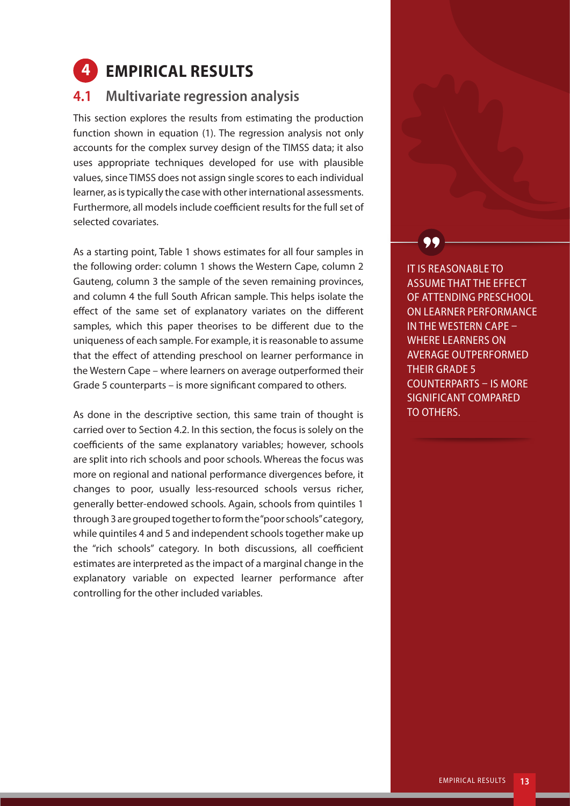## **4 EMPIRICAL RESULTS**

#### **4.1 Multivariate regression analysis**

This section explores the results from estimating the production function shown in equation (1). The regression analysis not only accounts for the complex survey design of the TIMSS data; it also uses appropriate techniques developed for use with plausible values, since TIMSS does not assign single scores to each individual learner, as is typically the case with other international assessments. Furthermore, all models include coefficient results for the full set of selected covariates.

As a starting point, Table 1 shows estimates for all four samples in the following order: column 1 shows the Western Cape, column 2 Gauteng, column 3 the sample of the seven remaining provinces, and column 4 the full South African sample. This helps isolate the effect of the same set of explanatory variates on the different samples, which this paper theorises to be different due to the uniqueness of each sample. For example, it is reasonable to assume that the effect of attending preschool on learner performance in the Western Cape – where learners on average outperformed their Grade 5 counterparts – is more significant compared to others.

As done in the descriptive section, this same train of thought is carried over to Section 4.2. In this section, the focus is solely on the coefficients of the same explanatory variables; however, schools are split into rich schools and poor schools. Whereas the focus was more on regional and national performance divergences before, it changes to poor, usually less-resourced schools versus richer, generally better-endowed schools. Again, schools from quintiles 1 through 3 are grouped together to form the "poor schools" category, while quintiles 4 and 5 and independent schools together make up the "rich schools" category. In both discussions, all coefficient estimates are interpreted as the impact of a marginal change in the explanatory variable on expected learner performance after controlling for the other included variables.

IT IS REASONABLE TO ASSUME THAT THE EFFECT OF ATTENDING PRESCHOOL ON LEARNER PERFORMANCE IN THE WESTERN CAPE – WHERE LEARNERS ON AVERAGE OUTPERFORMED THEIR GRADE 5 COUNTERPARTS – IS MORE SIGNIFICANT COMPARED TO OTHERS.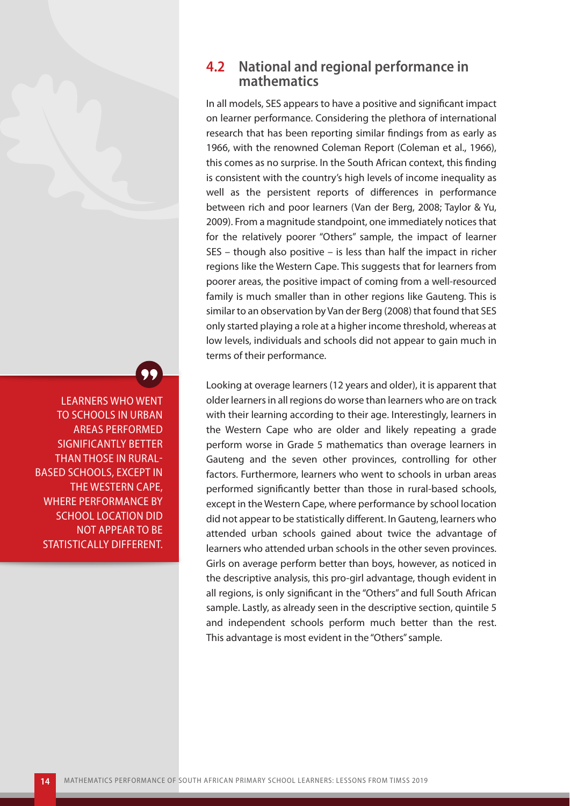#### **4.2 National and regional performance in mathematics**

In all models, SES appears to have a positive and significant impact on learner performance. Considering the plethora of international research that has been reporting similar findings from as early as 1966, with the renowned Coleman Report (Coleman et al., 1966), this comes as no surprise. In the South African context, this finding is consistent with the country's high levels of income inequality as well as the persistent reports of differences in performance between rich and poor learners (Van der Berg, 2008; Taylor & Yu, 2009). From a magnitude standpoint, one immediately notices that for the relatively poorer "Others" sample, the impact of learner SES – though also positive – is less than half the impact in richer regions like the Western Cape. This suggests that for learners from poorer areas, the positive impact of coming from a well-resourced family is much smaller than in other regions like Gauteng. This is similar to an observation by Van der Berg (2008) that found that SES only started playing a role at a higher income threshold, whereas at low levels, individuals and schools did not appear to gain much in terms of their performance.

Looking at overage learners (12 years and older), it is apparent that older learners in all regions do worse than learners who are on track with their learning according to their age. Interestingly, learners in the Western Cape who are older and likely repeating a grade perform worse in Grade 5 mathematics than overage learners in Gauteng and the seven other provinces, controlling for other factors. Furthermore, learners who went to schools in urban areas performed significantly better than those in rural-based schools, except in the Western Cape, where performance by school location did not appear to be statistically different. In Gauteng, learners who attended urban schools gained about twice the advantage of learners who attended urban schools in the other seven provinces. Girls on average perform better than boys, however, as noticed in the descriptive analysis, this pro-girl advantage, though evident in all regions, is only significant in the "Others" and full South African sample. Lastly, as already seen in the descriptive section, quintile 5 and independent schools perform much better than the rest. This advantage is most evident in the "Others" sample.

LEARNERS WHO WENT TO SCHOOLS IN URBAN AREAS PERFORMED SIGNIFICANTLY BETTER THAN THOSE IN RURAL-BASED SCHOOLS, EXCEPT IN THE WESTERN CAPE, WHERE PERFORMANCE BY SCHOOL LOCATION DID NOT APPEAR TO BE STATISTICALLY DIFFERENT.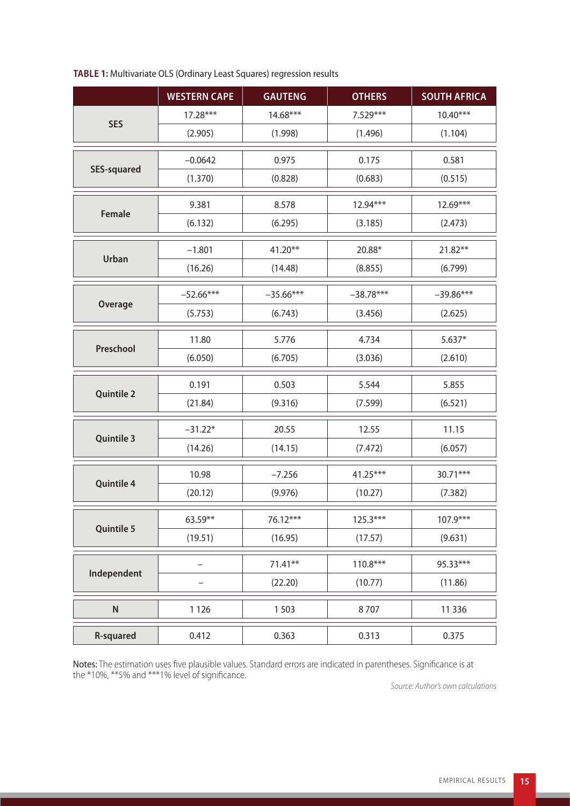|                    | <b>WESTERN CAPE</b> | <b>GAUTENG</b> | <b>OTHERS</b> | <b>SOUTH AFRICA</b> |
|--------------------|---------------------|----------------|---------------|---------------------|
| <b>SES</b>         | 17.28***            | 14.68***       | 7.529***      | $10.40***$          |
|                    | (2.905)             | (1.998)        | (1.496)       | (1.104)             |
| <b>SES-squared</b> | $-0.0642$           | 0.975          | 0.175         | 0.581               |
|                    | (1.370)             | (0.828)        | (0.683)       | (0.515)             |
| Female             | 9.381               | 8.578          | 12.94***      | 12.69***            |
|                    | (6.132)             | (6.295)        | (3.185)       | (2.473)             |
| Urban              | $-1.801$            | 41.20**        | 20.88*        | 21.82**             |
|                    | (16.26)             | (14.48)        | (8.855)       | (6.799)             |
| Overage            | $-52.66***$         | $-35.66***$    | $-38.78***$   | $-39.86***$         |
|                    | (5.753)             | (6.743)        | (3.456)       | (2.625)             |
| Preschool          | 11.80               | 5.776          | 4.734         | $5.637*$            |
|                    | (6.050)             | (6.705)        | (3.036)       | (2.610)             |
| <b>Quintile 2</b>  | 0.191               | 0.503          | 5.544         | 5.855               |
|                    | (21.84)             | (9.316)        | (7.599)       | (6.521)             |
| <b>Quintile 3</b>  | $-31.22*$           | 20.55          | 12.55         | 11.15               |
|                    | (14.26)             | (14.15)        | (7.472)       | (6.057)             |
| Quintile 4         | 10.98               | $-7.256$       | $41.25***$    | 30.71***            |
|                    | (20.12)             | (9.976)        | (10.27)       | (7.382)             |
| <b>Quintile 5</b>  | 63.59**             | 76.12***       | 125.3***      | 107.9***            |
|                    | (19.51)             | (16.95)        | (17.57)       | (9.631)             |
| Independent        | -                   | $71.41**$      | $110.8***$    | 95.33***            |
|                    |                     | (22.20)        | (10.77)       | (11.86)             |
| ${\sf N}$          | 1 1 2 6             | 1503           | 8707          | 11 3 36             |
| <b>R-squared</b>   | 0.412               | 0.363          | 0.313         | 0.375               |

#### **TABLE 1:** Multivariate OLS (Ordinary Least Squares) regression results

Notes: The estimation uses five plausible values. Standard errors are indicated in parentheses. Significance is at the \*10%, \*\*5% and \*\*\*1% level of significance.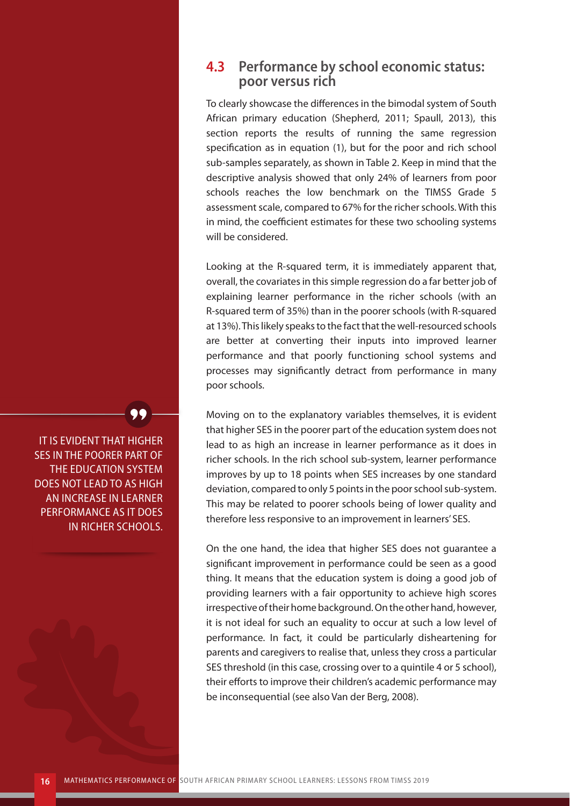#### **4.3 Performance by school economic status: poor versus rich**

To clearly showcase the differences in the bimodal system of South African primary education (Shepherd, 2011; Spaull, 2013), this section reports the results of running the same regression specification as in equation (1), but for the poor and rich school sub-samples separately, as shown in Table 2. Keep in mind that the descriptive analysis showed that only 24% of learners from poor schools reaches the low benchmark on the TIMSS Grade 5 assessment scale, compared to 67% for the richer schools. With this in mind, the coefficient estimates for these two schooling systems will be considered.

Looking at the R-squared term, it is immediately apparent that, overall, the covariates in this simple regression do a far better job of explaining learner performance in the richer schools (with an R-squared term of 35%) than in the poorer schools (with R-squared at 13%). This likely speaks to the fact that the well-resourced schools are better at converting their inputs into improved learner performance and that poorly functioning school systems and processes may significantly detract from performance in many poor schools.

Moving on to the explanatory variables themselves, it is evident that higher SES in the poorer part of the education system does not lead to as high an increase in learner performance as it does in richer schools. In the rich school sub-system, learner performance improves by up to 18 points when SES increases by one standard deviation, compared to only 5 points in the poor school sub-system. This may be related to poorer schools being of lower quality and therefore less responsive to an improvement in learners' SES.

On the one hand, the idea that higher SES does not guarantee a significant improvement in performance could be seen as a good thing. It means that the education system is doing a good job of providing learners with a fair opportunity to achieve high scores irrespective of their home background. On the other hand, however, it is not ideal for such an equality to occur at such a low level of performance. In fact, it could be particularly disheartening for parents and caregivers to realise that, unless they cross a particular SES threshold (in this case, crossing over to a quintile 4 or 5 school), their efforts to improve their children's academic performance may be inconsequential (see also Van der Berg, 2008).

IT IS EVIDENT THAT HIGHER SES IN THE POORER PART OF THE EDUCATION SYSTEM DOES NOT LEAD TO AS HIGH AN INCREASE IN LEARNER PERFORMANCE AS IT DOES IN RICHER SCHOOLS.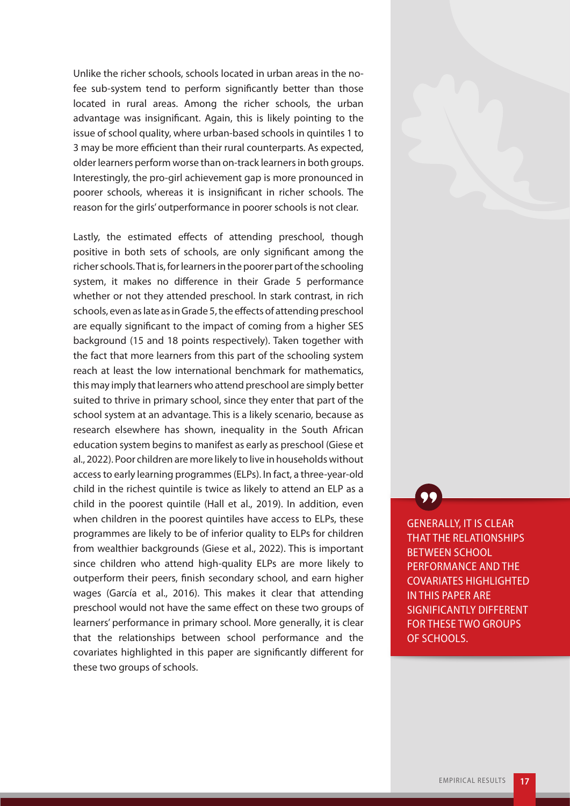Unlike the richer schools, schools located in urban areas in the nofee sub-system tend to perform significantly better than those located in rural areas. Among the richer schools, the urban advantage was insignificant. Again, this is likely pointing to the issue of school quality, where urban-based schools in quintiles 1 to 3 may be more efficient than their rural counterparts. As expected, older learners perform worse than on-track learners in both groups. Interestingly, the pro-girl achievement gap is more pronounced in poorer schools, whereas it is insignificant in richer schools. The reason for the girls' outperformance in poorer schools is not clear.

Lastly, the estimated effects of attending preschool, though positive in both sets of schools, are only significant among the richer schools. That is, for learners in the poorer part of the schooling system, it makes no difference in their Grade 5 performance whether or not they attended preschool. In stark contrast, in rich schools, even as late as in Grade 5, the effects of attending preschool are equally significant to the impact of coming from a higher SES background (15 and 18 points respectively). Taken together with the fact that more learners from this part of the schooling system reach at least the low international benchmark for mathematics, this may imply that learners who attend preschool are simply better suited to thrive in primary school, since they enter that part of the school system at an advantage. This is a likely scenario, because as research elsewhere has shown, inequality in the South African education system begins to manifest as early as preschool (Giese et al., 2022). Poor children are more likely to live in households without access to early learning programmes (ELPs). In fact, a three-year-old child in the richest quintile is twice as likely to attend an ELP as a child in the poorest quintile (Hall et al., 2019). In addition, even when children in the poorest quintiles have access to ELPs, these programmes are likely to be of inferior quality to ELPs for children from wealthier backgrounds (Giese et al., 2022). This is important since children who attend high-quality ELPs are more likely to outperform their peers, finish secondary school, and earn higher wages (García et al., 2016). This makes it clear that attending preschool would not have the same effect on these two groups of learners' performance in primary school. More generally, it is clear that the relationships between school performance and the covariates highlighted in this paper are significantly different for these two groups of schools.

GENERALLY, IT IS CLEAR THAT THE RELATIONSHIPS BETWEEN SCHOOL PERFORMANCE AND THE COVARIATES HIGHLIGHTED IN THIS PAPER ARE SIGNIFICANTLY DIFFERENT FOR THESE TWO GROUPS OF SCHOOLS.

99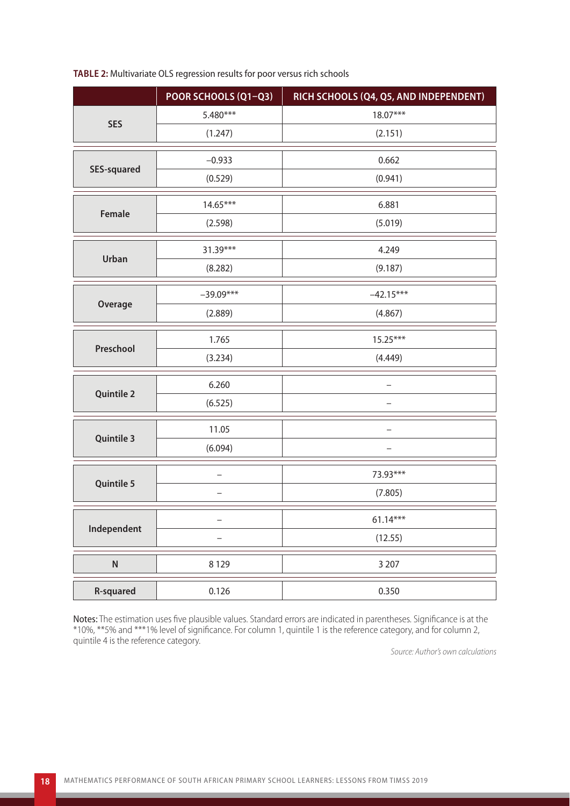#### **TABLE 2:** Multivariate OLS regression results for poor versus rich schools

|                    | POOR SCHOOLS (Q1-Q3) | RICH SCHOOLS (Q4, Q5, AND INDEPENDENT) |  |  |
|--------------------|----------------------|----------------------------------------|--|--|
| <b>SES</b>         | 5.480***             | 18.07***                               |  |  |
|                    | (1.247)              | (2.151)                                |  |  |
| <b>SES-squared</b> | $-0.933$             | 0.662                                  |  |  |
|                    | (0.529)              | (0.941)                                |  |  |
| Female             | $14.65***$           | 6.881                                  |  |  |
|                    | (2.598)              | (5.019)                                |  |  |
| <b>Urban</b>       | 31.39***             | 4.249                                  |  |  |
|                    | (8.282)              | (9.187)                                |  |  |
| Overage            | $-39.09***$          | $-42.15***$                            |  |  |
|                    | (2.889)              | (4.867)                                |  |  |
| Preschool          | 1.765                | 15.25***                               |  |  |
|                    | (3.234)              | (4.449)                                |  |  |
| <b>Quintile 2</b>  | 6.260                |                                        |  |  |
|                    | (6.525)              |                                        |  |  |
| <b>Quintile 3</b>  | 11.05                |                                        |  |  |
|                    | (6.094)              |                                        |  |  |
| <b>Quintile 5</b>  |                      | 73.93***                               |  |  |
|                    |                      | (7.805)                                |  |  |
| Independent        | -                    | $61.14***$                             |  |  |
|                    |                      | (12.55)                                |  |  |
| ${\sf N}$          | 8 1 2 9              | 3 2 0 7                                |  |  |
| <b>R-squared</b>   | 0.126                | 0.350                                  |  |  |

Notes: The estimation uses five plausible values. Standard errors are indicated in parentheses. Significance is at the \*10%, \*\*5% and \*\*\*1% level of significance. For column 1, quintile 1 is the reference category, and for column 2, quintile 4 is the reference category.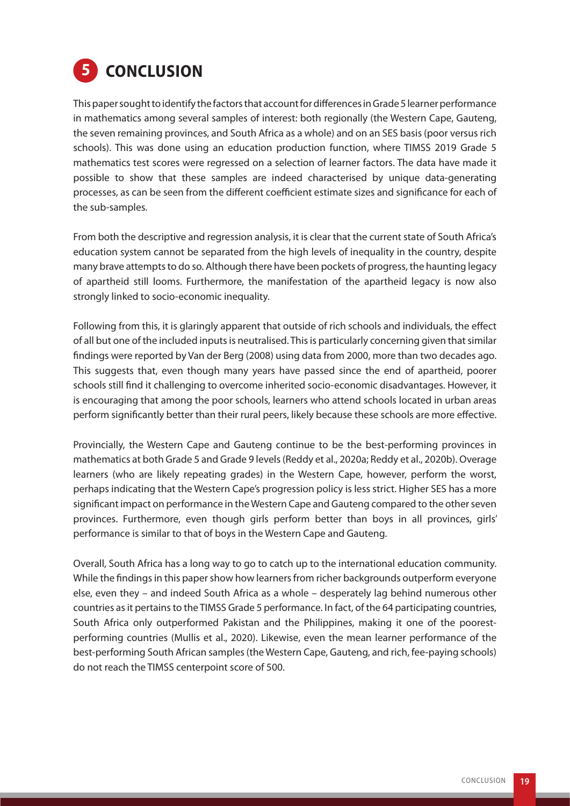

This paper sought to identify the factors that account for differences in Grade 5 learner performance in mathematics among several samples of interest: both regionally (the Western Cape, Gauteng, the seven remaining provinces, and South Africa as a whole) and on an SES basis (poor versus rich schools). This was done using an education production function, where TIMSS 2019 Grade 5 mathematics test scores were regressed on a selection of learner factors. The data have made it possible to show that these samples are indeed characterised by unique data-generating processes, as can be seen from the different coefficient estimate sizes and significance for each of the sub-samples.

From both the descriptive and regression analysis, it is clear that the current state of South Africa's education system cannot be separated from the high levels of inequality in the country, despite many brave attempts to do so. Although there have been pockets of progress, the haunting legacy of apartheid still looms. Furthermore, the manifestation of the apartheid legacy is now also strongly linked to socio-economic inequality.

Following from this, it is glaringly apparent that outside of rich schools and individuals, the effect of all but one of the included inputs is neutralised. This is particularly concerning given that similar findings were reported by Van der Berg (2008) using data from 2000, more than two decades ago. This suggests that, even though many years have passed since the end of apartheid, poorer schools still find it challenging to overcome inherited socio-economic disadvantages. However, it is encouraging that among the poor schools, learners who attend schools located in urban areas perform significantly better than their rural peers, likely because these schools are more effective.

Provincially, the Western Cape and Gauteng continue to be the best-performing provinces in mathematics at both Grade 5 and Grade 9 levels (Reddy et al., 2020a; Reddy et al., 2020b). Overage learners (who are likely repeating grades) in the Western Cape, however, perform the worst, perhaps indicating that the Western Cape's progression policy is less strict. Higher SES has a more significant impact on performance in the Western Cape and Gauteng compared to the other seven provinces. Furthermore, even though girls perform better than boys in all provinces, girls' performance is similar to that of boys in the Western Cape and Gauteng.

Overall, South Africa has a long way to go to catch up to the international education community. While the findings in this paper show how learners from richer backgrounds outperform everyone else, even they – and indeed South Africa as a whole – desperately lag behind numerous other countries as it pertains to the TIMSS Grade 5 performance. In fact, of the 64 participating countries, South Africa only outperformed Pakistan and the Philippines, making it one of the poorestperforming countries (Mullis et al., 2020). Likewise, even the mean learner performance of the best-performing South African samples (the Western Cape, Gauteng, and rich, fee-paying schools) do not reach the TIMSS centerpoint score of 500.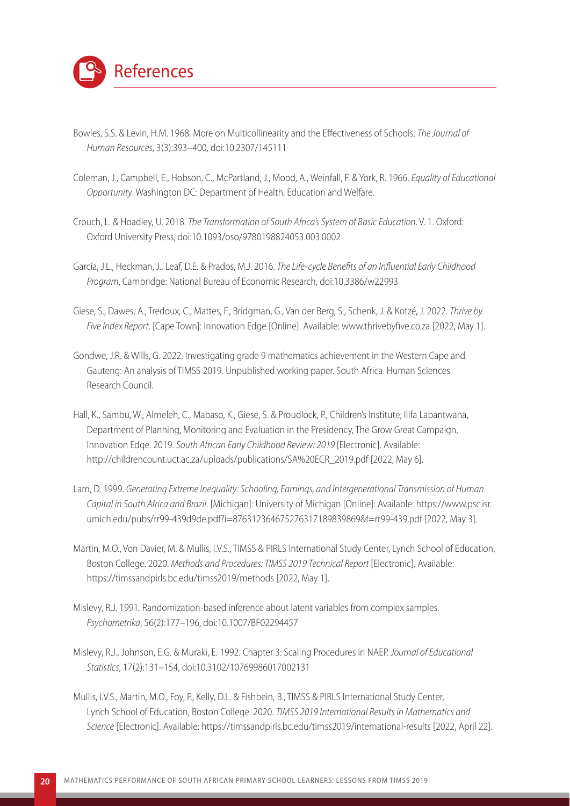

- Bowles, S.S. & Levin, H.M. 1968. More on Multicollinearity and the Effectiveness of Schools. *The Journal of Human Resources*, 3(3):393–400, doi:10.2307/145111
- Coleman, J., Campbell, E., Hobson, C., McPartland, J., Mood, A., Weinfall, F. & York, R. 1966. *Equality of Educational Opportunity*. Washington DC: Department of Health, Education and Welfare.
- Crouch, L. & Hoadley, U. 2018. *The Transformation of South Africa's System of Basic Education*. V. 1. Oxford: Oxford University Press, doi:10.1093/oso/9780198824053.003.0002
- García, J.L., Heckman, J., Leaf, D.E. & Prados, M.J. 2016. *The Life-cycle Benefits of an Influential Early Childhood Program*. Cambridge: National Bureau of Economic Research, doi:10.3386/w22993
- Giese, S., Dawes, A., Tredoux, C., Mattes, F., Bridgman, G., Van der Berg, S., Schenk, J. & Kotzé, J. 2022. *Thrive by Five Index Report*. [Cape Town]: Innovation Edge [Online]. Available: www.thrivebyfive.co.za [2022, May 1].
- Gondwe, J.R. & Wills, G. 2022. Investigating grade 9 mathematics achievement in the Western Cape and Gauteng: An analysis of TIMSS 2019. Unpublished working paper. South Africa. Human Sciences Research Council.
- Hall, K., Sambu, W., Almeleh, C., Mabaso, K., Giese, S. & Proudlock, P., Children's Institute; Ilifa Labantwana, Department of Planning, Monitoring and Evaluation in the Presidency, The Grow Great Campaign, Innovation Edge. 2019. *South African Early Childhood Review: 2019* [Electronic]. Available: [http://childrencount.uct.ac.za/uploads/publications/SA%20ECR\\_2019.pdf](http://childrencount.uct.ac.za/uploads/publications/SA%20ECR_2019.pdf) [2022, May 6].
- Lam, D. 1999. *Generating Extreme Inequality: Schooling, Earnings, and Intergenerational Transmission of Human Capital in South Africa and Brazil*. [Michigan]: University of Michigan [Online]: Available: [https://www.psc.isr.](https://www.psc.isr.umich.edu/pubs/rr99-439d9de.pdf?i=876312364675276317189839869&f=rr99-439.pdf) [umich.edu/pubs/rr99-439d9de.pdf?i=876312364675276317189839869&f=rr99-439.pdf](https://www.psc.isr.umich.edu/pubs/rr99-439d9de.pdf?i=876312364675276317189839869&f=rr99-439.pdf) [2022, May 3].
- Martin, M.O., Von Davier, M. & Mullis, I.V.S., TIMSS & PIRLS International Study Center, Lynch School of Education, Boston College. 2020. *Methods and Procedures: TIMSS 2019 Technical Report* [Electronic]. Available: https://timssandpirls.bc.edu/timss2019/methods [2022, May 1].
- Mislevy, R.J. 1991. Randomization-based inference about latent variables from complex samples. *Psychometrika*, 56(2):177–196, doi:10.1007/BF02294457
- Mislevy, R.J., Johnson, E.G. & Muraki, E. 1992. Chapter 3: Scaling Procedures in NAEP. *Journal of Educational Statistics*, 17(2):131–154, doi:10.3102/10769986017002131
- Mullis, I.V.S., Martin, M.O., Foy, P., Kelly, D.L. & Fishbein, B., TIMSS & PIRLS International Study Center, Lynch School of Education, Boston College. 2020. *TIMSS 2019 International Results in Mathematics and Science* [Electronic]. Available: https://timssandpirls.bc.edu/timss2019/international-results [2022, April 22].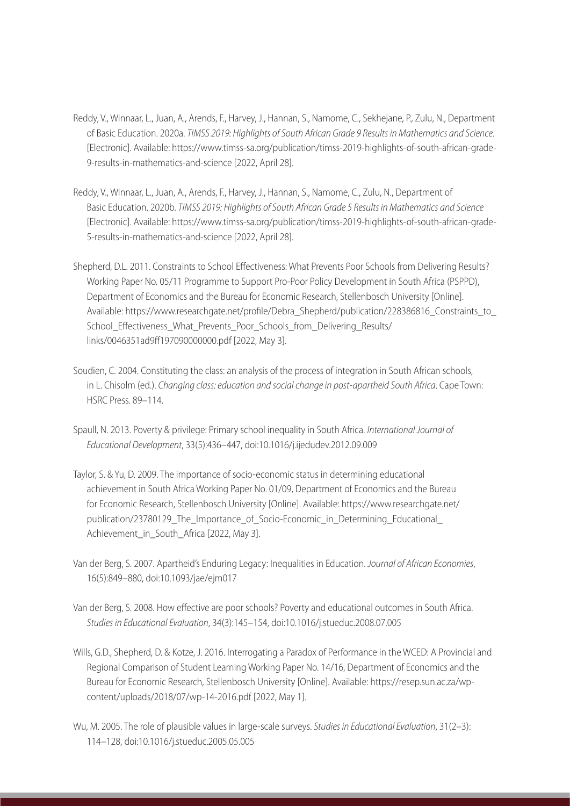- Reddy, V., Winnaar, L., Juan, A., Arends, F., Harvey, J., Hannan, S., Namome, C., Sekhejane, P., Zulu, N., Department of Basic Education. 2020a. *TIMSS 2019: Highlights of South African Grade 9 Results in Mathematics and Science*. [Electronic]. Available: [https://www.timss-sa.org/publication/timss-2019-highlights-of-south-african-grade-](https://www.timss-sa.org/publication/timss-2019-highlights-of-south-african-grade-9-results-in-mathematics-and-science)[9-results-in-mathematics-and-science](https://www.timss-sa.org/publication/timss-2019-highlights-of-south-african-grade-9-results-in-mathematics-and-science) [2022, April 28].
- Reddy, V., Winnaar, L., Juan, A., Arends, F., Harvey, J., Hannan, S., Namome, C., Zulu, N., Department of Basic Education. 2020b. *TIMSS 2019: Highlights of South African Grade 5 Results in Mathematics and Science* [Electronic]. Available: [https://www.timss-sa.org/publication/timss-2019-highlights-of-south-african-grade-](https://www.timss-sa.org/publication/timss-2019-highlights-of-south-african-grade-5-results-in-mathematics-and-science)[5-results-in-mathematics-and-science](https://www.timss-sa.org/publication/timss-2019-highlights-of-south-african-grade-5-results-in-mathematics-and-science) [2022, April 28].
- Shepherd, D.L. 2011. Constraints to School Effectiveness: What Prevents Poor Schools from Delivering Results? Working Paper No. 05/11 Programme to Support Pro-Poor Policy Development in South Africa (PSPPD), Department of Economics and the Bureau for Economic Research, Stellenbosch University [Online]. Available: [https://www.researchgate.net/profile/Debra\\_Shepherd/publication/228386816\\_Constraints\\_to\\_](https://www.researchgate.net/profile/Debra_Shepherd/publication/228386816_Constraints_to_School_Effectiveness_What_Prevents_Poor_Schools_from_Delivering_Results/links/0046351ad9ff197090000000.pdf) [School\\_Effectiveness\\_What\\_Prevents\\_Poor\\_Schools\\_from\\_Delivering\\_Results/](https://www.researchgate.net/profile/Debra_Shepherd/publication/228386816_Constraints_to_School_Effectiveness_What_Prevents_Poor_Schools_from_Delivering_Results/links/0046351ad9ff197090000000.pdf) [links/0046351ad9ff197090000000.pdf](https://www.researchgate.net/profile/Debra_Shepherd/publication/228386816_Constraints_to_School_Effectiveness_What_Prevents_Poor_Schools_from_Delivering_Results/links/0046351ad9ff197090000000.pdf) [2022, May 3].
- Soudien, C. 2004. Constituting the class: an analysis of the process of integration in South African schools, in L. Chisolm (ed.). *Changing class: education and social change in post-apartheid South Africa*. Cape Town: HSRC Press. 89–114.
- Spaull, N. 2013. Poverty & privilege: Primary school inequality in South Africa. *International Journal of Educational Development*, 33(5):436–447, doi:10.1016/j.ijedudev.2012.09.009
- Taylor, S. & Yu, D. 2009. The importance of socio-economic status in determining educational achievement in South Africa Working Paper No. 01/09, Department of Economics and the Bureau for Economic Research, Stellenbosch University [Online]. Available: [https://www.researchgate.net/](https://www.researchgate.net/publication/23780129_The_Importance_of_Socio-Economic_in_Determining_Educational_Achievement_in_South_Africa%20%5b2022) [publication/23780129\\_The\\_Importance\\_of\\_Socio-Economic\\_in\\_Determining\\_Educational\\_](https://www.researchgate.net/publication/23780129_The_Importance_of_Socio-Economic_in_Determining_Educational_Achievement_in_South_Africa%20%5b2022) Achievement in South Africa [2022, May 3].
- Van der Berg, S. 2007. Apartheid's Enduring Legacy: Inequalities in Education. *Journal of African Economies*, 16(5):849–880, doi:10.1093/jae/ejm017
- Van der Berg, S. 2008. How effective are poor schools? Poverty and educational outcomes in South Africa. *Studies in Educational Evaluation*, 34(3):145–154, doi:10.1016/j.stueduc.2008.07.005
- Wills, G.D., Shepherd, D. & Kotze, J. 2016. Interrogating a Paradox of Performance in the WCED: A Provincial and Regional Comparison of Student Learning Working Paper No. 14/16, Department of Economics and the Bureau for Economic Research, Stellenbosch University [Online]. Available: [https://resep.sun.ac.za/wp](https://resep.sun.ac.za/wp-content/uploads/2018/07/wp-14-2016.pdf)[content/uploads/2018/07/wp-14-2016.pdf](https://resep.sun.ac.za/wp-content/uploads/2018/07/wp-14-2016.pdf) [2022, May 1].
- Wu, M. 2005. The role of plausible values in large-scale surveys. *Studies in Educational Evaluation*, 31(2–3): 114–128, doi:10.1016/j.stueduc.2005.05.005